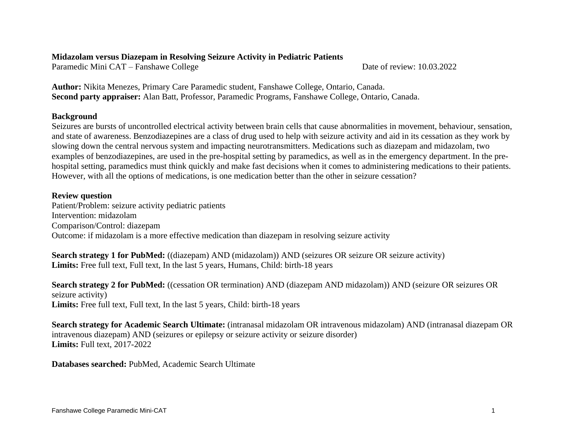### **Midazolam versus Diazepam in Resolving Seizure Activity in Pediatric Patients**

Paramedic Mini CAT – Fanshawe College Date of review: 10.03.2022

**Author:** Nikita Menezes, Primary Care Paramedic student, Fanshawe College, Ontario, Canada. **Second party appraiser:** Alan Batt, Professor, Paramedic Programs, Fanshawe College, Ontario, Canada.

## **Background**

Seizures are bursts of uncontrolled electrical activity between brain cells that cause abnormalities in movement, behaviour, sensation, and state of awareness. Benzodiazepines are a class of drug used to help with seizure activity and aid in its cessation as they work by slowing down the central nervous system and impacting neurotransmitters. Medications such as diazepam and midazolam, two examples of benzodiazepines, are used in the pre-hospital setting by paramedics, as well as in the emergency department. In the prehospital setting, paramedics must think quickly and make fast decisions when it comes to administering medications to their patients. However, with all the options of medications, is one medication better than the other in seizure cessation?

## **Review question**

Patient/Problem: seizure activity pediatric patients Intervention: midazolam Comparison/Control: diazepam Outcome: if midazolam is a more effective medication than diazepam in resolving seizure activity

**Search strategy 1 for PubMed:** ((diazepam) AND (midazolam)) AND (seizures OR seizure OR seizure activity) **Limits:** Free full text, Full text, In the last 5 years, Humans, Child: birth-18 years

**Search strategy 2 for PubMed:** ((cessation OR termination) AND (diazepam AND midazolam)) AND (seizure OR seizures OR seizure activity) **Limits:** Free full text, Full text, In the last 5 years, Child: birth-18 years

**Search strategy for Academic Search Ultimate:** (intranasal midazolam OR intravenous midazolam) AND (intranasal diazepam OR intravenous diazepam) AND (seizures or epilepsy or seizure activity or seizure disorder) **Limits:** Full text, 2017-2022

**Databases searched:** PubMed, Academic Search Ultimate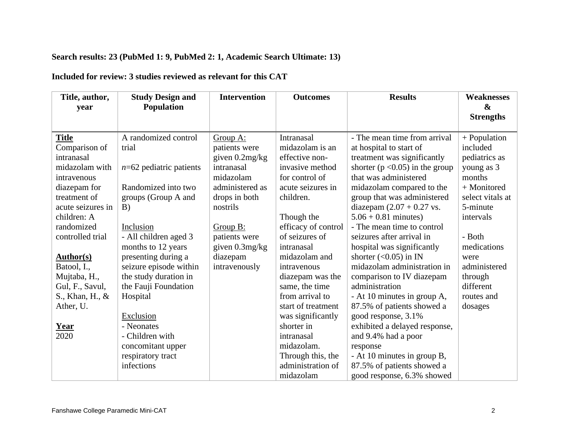## **Search results: 23 (PubMed 1: 9, PubMed 2: 1, Academic Search Ultimate: 13)**

# **Included for review: 3 studies reviewed as relevant for this CAT**

| Title, author,    | <b>Study Design and</b>   | <b>Intervention</b> | <b>Outcomes</b>     | <b>Results</b>                      | <b>Weaknesses</b> |
|-------------------|---------------------------|---------------------|---------------------|-------------------------------------|-------------------|
| year              | <b>Population</b>         |                     |                     |                                     | $\mathbf{\alpha}$ |
|                   |                           |                     |                     |                                     | <b>Strengths</b>  |
|                   |                           |                     |                     |                                     |                   |
| <b>Title</b>      | A randomized control      | Group A:            | Intranasal          | - The mean time from arrival        | $+$ Population    |
| Comparison of     | trial                     | patients were       | midazolam is an     | at hospital to start of             | included          |
| intranasal        |                           | given 0.2mg/kg      | effective non-      | treatment was significantly         | pediatrics as     |
| midazolam with    | $n=62$ pediatric patients | intranasal          | invasive method     | shorter ( $p < 0.05$ ) in the group | young as 3        |
| intravenous       |                           | midazolam           | for control of      | that was administered               | months            |
| diazepam for      | Randomized into two       | administered as     | acute seizures in   | midazolam compared to the           | + Monitored       |
| treatment of      | groups (Group A and       | drops in both       | children.           | group that was administered         | select vitals at  |
| acute seizures in | B)                        | nostrils            |                     | diazepam $(2.07 + 0.27$ vs.         | 5-minute          |
| children: A       |                           |                     | Though the          | $5.06 + 0.81$ minutes)              | intervals         |
| randomized        | Inclusion                 | Group B:            | efficacy of control | - The mean time to control          |                   |
| controlled trial  | - All children aged 3     | patients were       | of seizures of      | seizures after arrival in           | - Both            |
|                   | months to 12 years        | given 0.3mg/kg      | intranasal          | hospital was significantly          | medications       |
| <b>Author(s)</b>  | presenting during a       | diazepam            | midazolam and       | shorter $(<0.05$ ) in IN            | were              |
| Batool, I.,       | seizure episode within    | intravenously       | intravenous         | midazolam administration in         | administered      |
| Mujtaba, H.,      | the study duration in     |                     | diazepam was the    | comparison to IV diazepam           | through           |
| Gul, F., Savul,   | the Fauji Foundation      |                     | same, the time      | administration                      | different         |
| S., Khan, H., &   | Hospital                  |                     | from arrival to     | - At 10 minutes in group A,         | routes and        |
| Ather, U.         |                           |                     | start of treatment  | 87.5% of patients showed a          | dosages           |
|                   | Exclusion                 |                     | was significantly   | good response, 3.1%                 |                   |
| <b>Year</b>       | - Neonates                |                     | shorter in          | exhibited a delayed response,       |                   |
| 2020              | - Children with           |                     | intranasal          | and 9.4% had a poor                 |                   |
|                   | concomitant upper         |                     | midazolam.          | response                            |                   |
|                   | respiratory tract         |                     | Through this, the   | - At 10 minutes in group B,         |                   |
|                   | infections                |                     | administration of   | 87.5% of patients showed a          |                   |
|                   |                           |                     | midazolam           | good response, 6.3% showed          |                   |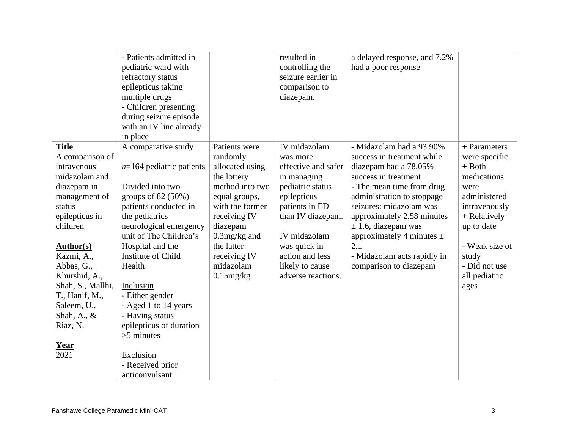|                                                                                                                                                                                                                                                                                                                     | - Patients admitted in<br>pediatric ward with<br>refractory status<br>epilepticus taking<br>multiple drugs<br>- Children presenting<br>during seizure episode<br>with an IV line already<br>in place                                                                                                                                                                                                                     |                                                                                                                                                                                                                              | resulted in<br>controlling the<br>seizure earlier in<br>comparison to<br>diazepam.                                                                                                                                                   | a delayed response, and 7.2%<br>had a poor response                                                                                                                                                                                                                                                                                                     |                                                                                                                                                                                                        |
|---------------------------------------------------------------------------------------------------------------------------------------------------------------------------------------------------------------------------------------------------------------------------------------------------------------------|--------------------------------------------------------------------------------------------------------------------------------------------------------------------------------------------------------------------------------------------------------------------------------------------------------------------------------------------------------------------------------------------------------------------------|------------------------------------------------------------------------------------------------------------------------------------------------------------------------------------------------------------------------------|--------------------------------------------------------------------------------------------------------------------------------------------------------------------------------------------------------------------------------------|---------------------------------------------------------------------------------------------------------------------------------------------------------------------------------------------------------------------------------------------------------------------------------------------------------------------------------------------------------|--------------------------------------------------------------------------------------------------------------------------------------------------------------------------------------------------------|
| <b>Title</b><br>A comparison of<br>intravenous<br>midazolam and<br>diazepam in<br>management of<br>status<br>epilepticus in<br>children<br><b>Author(s)</b><br>Kazmi, A.,<br>Abbas, G.,<br>Khurshid, A.,<br>Shah, S., Mallhi,<br>T., Hanif, M.,<br>Saleem, U.,<br>Shah, A., $\&$<br>Riaz, N.<br><u>Year</u><br>2021 | A comparative study<br>$n=164$ pediatric patients<br>Divided into two<br>groups of $82(50%)$<br>patients conducted in<br>the pediatrics<br>neurological emergency<br>unit of The Children's<br>Hospital and the<br>Institute of Child<br>Health<br>Inclusion<br>- Either gender<br>- Aged 1 to 14 years<br>- Having status<br>epilepticus of duration<br>$>5$ minutes<br>Exclusion<br>- Received prior<br>anticonvulsant | Patients were<br>randomly<br>allocated using<br>the lottery<br>method into two<br>equal groups,<br>with the former<br>receiving IV<br>diazepam<br>$0.3$ mg/kg and<br>the latter<br>receiving IV<br>midazolam<br>$0.15$ mg/kg | IV midazolam<br>was more<br>effective and safer<br>in managing<br>pediatric status<br>epilepticus<br>patients in ED<br>than IV diazepam.<br>IV midazolam<br>was quick in<br>action and less<br>likely to cause<br>adverse reactions. | - Midazolam had a 93.90%<br>success in treatment while<br>diazepam had a 78.05%<br>success in treatment<br>- The mean time from drug<br>administration to stoppage<br>seizures: midazolam was<br>approximately 2.58 minutes<br>$\pm$ 1.6, diazepam was<br>approximately 4 minutes $\pm$<br>2.1<br>- Midazolam acts rapidly in<br>comparison to diazepam | $+$ Parameters<br>were specific<br>$+$ Both<br>medications<br>were<br>administered<br>intravenously<br>+ Relatively<br>up to date<br>- Weak size of<br>study<br>- Did not use<br>all pediatric<br>ages |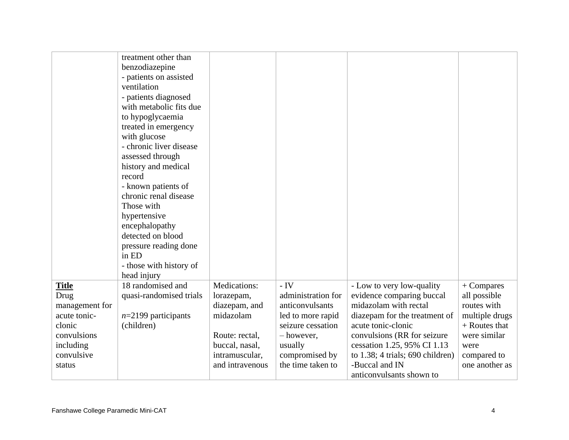|                      | treatment other than<br>benzodiazepine<br>- patients on assisted<br>ventilation<br>- patients diagnosed<br>with metabolic fits due<br>to hypoglycaemia<br>treated in emergency<br>with glucose<br>- chronic liver disease<br>assessed through<br>history and medical<br>record<br>- known patients of<br>chronic renal disease<br>Those with<br>hypertensive<br>encephalopathy<br>detected on blood<br>pressure reading done<br>in ED<br>- those with history of<br>head injury |                            |                             |                                                        |                            |
|----------------------|---------------------------------------------------------------------------------------------------------------------------------------------------------------------------------------------------------------------------------------------------------------------------------------------------------------------------------------------------------------------------------------------------------------------------------------------------------------------------------|----------------------------|-----------------------------|--------------------------------------------------------|----------------------------|
| <b>Title</b><br>Drug | 18 randomised and<br>quasi-randomised trials                                                                                                                                                                                                                                                                                                                                                                                                                                    | Medications:<br>lorazepam, | $-IV$<br>administration for | - Low to very low-quality<br>evidence comparing buccal | + Compares<br>all possible |
| management for       |                                                                                                                                                                                                                                                                                                                                                                                                                                                                                 | diazepam, and              | anticonvulsants             | midazolam with rectal                                  | routes with                |
| acute tonic-         | $n=2199$ participants                                                                                                                                                                                                                                                                                                                                                                                                                                                           | midazolam                  | led to more rapid           | diazepam for the treatment of                          | multiple drugs             |
| clonic               | (children)                                                                                                                                                                                                                                                                                                                                                                                                                                                                      |                            | seizure cessation           | acute tonic-clonic                                     | + Routes that              |
| convulsions          |                                                                                                                                                                                                                                                                                                                                                                                                                                                                                 | Route: rectal,             | - however,                  | convulsions (RR for seizure                            | were similar               |
| including            |                                                                                                                                                                                                                                                                                                                                                                                                                                                                                 | buccal, nasal,             | usually                     | cessation 1.25, 95% CI 1.13                            | were                       |
| convulsive           |                                                                                                                                                                                                                                                                                                                                                                                                                                                                                 | intramuscular,             | compromised by              | to $1.38$ ; 4 trials; 690 children)                    | compared to                |
| status               |                                                                                                                                                                                                                                                                                                                                                                                                                                                                                 | and intravenous            | the time taken to           | -Buccal and IN                                         | one another as             |
|                      |                                                                                                                                                                                                                                                                                                                                                                                                                                                                                 |                            |                             | anticonvulsants shown to                               |                            |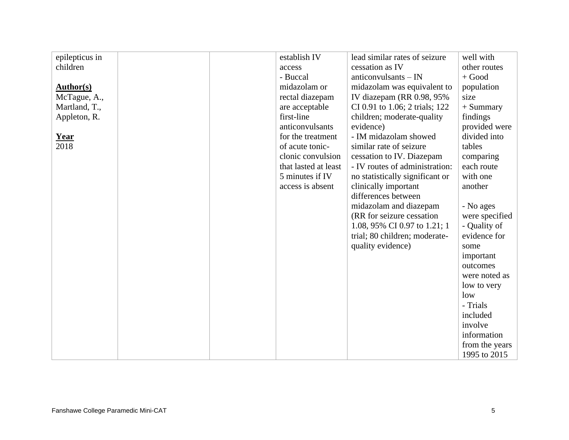| epilepticus in   |  | establish IV         | lead similar rates of seizure   | well with      |
|------------------|--|----------------------|---------------------------------|----------------|
| children         |  | access               | cessation as IV                 | other routes   |
|                  |  | - Buccal             | anticonvulsants - IN            | $+$ Good       |
| <b>Author(s)</b> |  | midazolam or         | midazolam was equivalent to     | population     |
| McTague, A.,     |  | rectal diazepam      | IV diazepam (RR 0.98, 95%       | size           |
| Martland, T.,    |  | are acceptable       | CI 0.91 to 1.06; 2 trials; 122  | + Summary      |
| Appleton, R.     |  | first-line           | children; moderate-quality      | findings       |
|                  |  | anticonvulsants      | evidence)                       | provided were  |
| <u>Year</u>      |  | for the treatment    | - IM midazolam showed           | divided into   |
| 2018             |  | of acute tonic-      | similar rate of seizure         | tables         |
|                  |  | clonic convulsion    | cessation to IV. Diazepam       | comparing      |
|                  |  | that lasted at least | - IV routes of administration:  | each route     |
|                  |  | 5 minutes if IV      | no statistically significant or | with one       |
|                  |  | access is absent     | clinically important            | another        |
|                  |  |                      | differences between             |                |
|                  |  |                      | midazolam and diazepam          | - No ages      |
|                  |  |                      | (RR for seizure cessation)      | were specified |
|                  |  |                      | 1.08, 95% CI 0.97 to 1.21; 1    | - Quality of   |
|                  |  |                      | trial; 80 children; moderate-   | evidence for   |
|                  |  |                      | quality evidence)               | some           |
|                  |  |                      |                                 | important      |
|                  |  |                      |                                 | outcomes       |
|                  |  |                      |                                 | were noted as  |
|                  |  |                      |                                 | low to very    |
|                  |  |                      |                                 | low            |
|                  |  |                      |                                 | - Trials       |
|                  |  |                      |                                 | included       |
|                  |  |                      |                                 | involve        |
|                  |  |                      |                                 | information    |
|                  |  |                      |                                 | from the years |
|                  |  |                      |                                 | 1995 to 2015   |